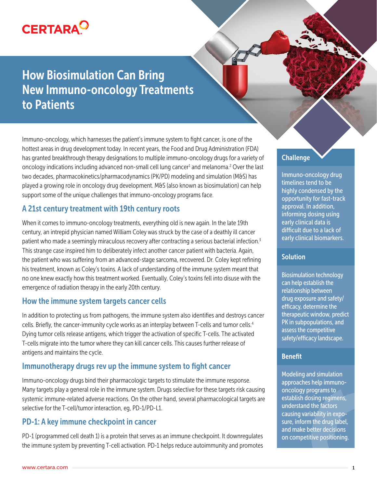# **CERTARA<sup>O</sup>**

## How Biosimulation Can Bring New Immuno-oncology Treatments to Patients

Immuno-oncology, which harnesses the patient's immune system to fight cancer, is one of the hottest areas in drug development today. In recent years, the Food and Drug Administration (FDA) has granted breakthrough therapy designations to multiple immuno-oncology drugs for a variety of oncology indications including advanced non-small cell lung cancer<sup>1</sup> and melanoma.<sup>2</sup> Over the last two decades, pharmacokinetics/pharmacodynamics (PK/PD) modeling and simulation (M&S) has played a growing role in oncology drug development. M&S (also known as biosimulation) can help support some of the unique challenges that immuno-oncology programs face.

## A 21st century treatment with 19th century roots

When it comes to immuno-oncology treatments, everything old is new again. In the late 19th century, an intrepid physician named William Coley was struck by the case of a deathly ill cancer patient who made a seemingly miraculous recovery after contracting a serious bacterial infection.3 This strange case inspired him to deliberately infect another cancer patient with bacteria. Again, the patient who was suffering from an advanced-stage sarcoma, recovered. Dr. Coley kept refining his treatment, known as Coley's toxins. A lack of understanding of the immune system meant that no one knew exactly how this treatment worked. Eventually, Coley's toxins fell into disuse with the emergence of radiation therapy in the early 20th century.

### How the immune system targets cancer cells

In addition to protecting us from pathogens, the immune system also identifies and destroys cancer cells. Briefly, the cancer-immunity cycle works as an interplay between T-cells and tumor cells.<sup>4</sup> Dying tumor cells release antigens, which trigger the activation of specific T-cells. The activated T-cells migrate into the tumor where they can kill cancer cells. This causes further release of antigens and maintains the cycle.

## Immunotherapy drugs rev up the immune system to fight cancer

Immuno-oncology drugs bind their pharmacologic targets to stimulate the immune response. Many targets play a general role in the immune system. Drugs selective for these targets risk causing systemic immune-related adverse reactions. On the other hand, several pharmacological targets are selective for the T-cell/tumor interaction, eg, PD-1/PD-L1.

## PD-1: A key immune checkpoint in cancer

PD-1 (programmed cell death 1) is a protein that serves as an immune checkpoint. It downregulates the immune system by preventing T-cell activation. PD-1 helps reduce autoimmunity and promotes

## Challenge

Immuno-oncology drug timelines tend to be highly condensed by the opportunity for fast-track approval. In addition, informing dosing using early clinical data is difficult due to a lack of early clinical biomarkers.

#### **Solution**

Biosimulation technology can help establish the relationship between drug exposure and safety/ efficacy, determine the therapeutic window, predict PK in subpopulations, and assess the competitive safety/efficacy landscape.

#### Benefit

Modeling and simulation approaches help immunooncology programs to establish dosing regimens, understand the factors causing variability in exposure, inform the drug label, and make better decisions on competitive positioning.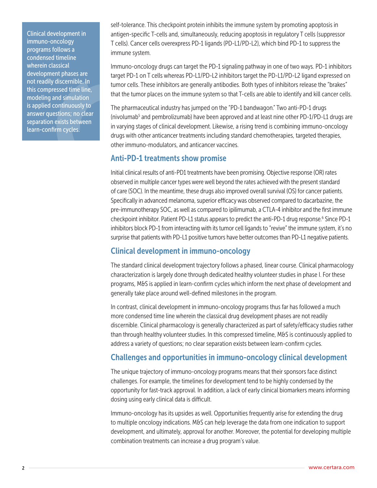Clinical development in immuno-oncology programs follows a condensed timeline wherein classical development phases are not readily discernible. In this compressed time line, modeling and simulation is applied continuously to answer questions; no clear separation exists between learn-confirm cycles.

self-tolerance. This checkpoint protein inhibits the immune system by promoting apoptosis in antigen-specific T-cells and, simultaneously, reducing apoptosis in regulatory T cells (suppressor T cells). Cancer cells overexpress PD-1 ligands (PD-L1/PD-L2), which bind PD-1 to suppress the immune system.

Immuno-oncology drugs can target the PD-1 signaling pathway in one of two ways. PD-1 inhibitors target PD-1 on T cells whereas PD-L1/PD-L2 inhibitors target the PD-L1/PD-L2 ligand expressed on tumor cells. These inhibitors are generally antibodies. Both types of inhibitors release the "brakes" that the tumor places on the immune system so that T-cells are able to identify and kill cancer cells.

The pharmaceutical industry has jumped on the "PD-1 bandwagon." Two anti-PD-1 drugs (nivolumab<sup>5</sup> and pembrolizumab) have been approved and at least nine other PD-1/PD-L1 drugs are in varying stages of clinical development. Likewise, a rising trend is combining immuno-oncology drugs with other anticancer treatments including standard chemotherapies, targeted therapies, other immuno-modulators, and anticancer vaccines.

#### Anti-PD-1 treatments show promise

Initial clinical results of anti-PD1 treatments have been promising. Objective response (OR) rates observed in multiple cancer types were well beyond the rates achieved with the present standard of care (SOC). In the meantime, these drugs also improved overall survival (OS) for cancer patients. Specifically in advanced melanoma, superior efficacy was observed compared to dacarbazine, the pre-immunotherapy SOC, as well as compared to ipilimumab, a CTLA-4 inhibitor and the first immune checkpoint inhibitor. Patient PD-L1 status appears to predict the anti-PD-1 drug response.<sup>6</sup> Since PD-1 inhibitors block PD-1 from interacting with its tumor cell ligands to "revive" the immune system, it's no surprise that patients with PD-L1 positive tumors have better outcomes than PD-L1 negative patients.

## Clinical development in immuno-oncology

The standard clinical development trajectory follows a phased, linear course. Clinical pharmacology characterization is largely done through dedicated healthy volunteer studies in phase I. For these programs, M&S is applied in learn-confirm cycles which inform the next phase of development and generally take place around well-defined milestones in the program.

In contrast, clinical development in immuno-oncology programs thus far has followed a much more condensed time line wherein the classical drug development phases are not readily discernible. Clinical pharmacology is generally characterized as part of safety/efficacy studies rather than through healthy volunteer studies. In this compressed timeline, M&S is continuously applied to address a variety of questions; no clear separation exists between learn-confirm cycles.

## Challenges and opportunities in immuno-oncology clinical development

The unique trajectory of immuno-oncology programs means that their sponsors face distinct challenges. For example, the timelines for development tend to be highly condensed by the opportunity for fast-track approval. In addition, a lack of early clinical biomarkers means informing dosing using early clinical data is difficult.

Immuno-oncology has its upsides as well. Opportunities frequently arise for extending the drug to multiple oncology indications. M&S can help leverage the data from one indication to support development, and ultimately, approval for another. Moreover, the potential for developing multiple combination treatments can increase a drug program's value.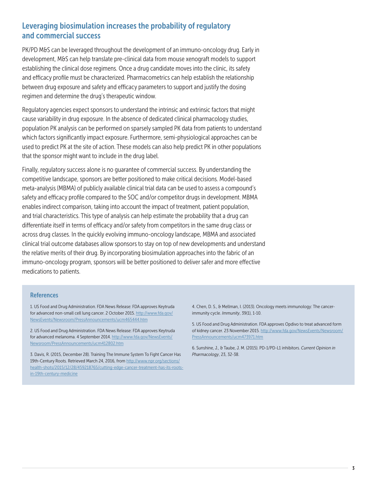## Leveraging biosimulation increases the probability of regulatory and commercial success

PK/PD M&S can be leveraged throughout the development of an immuno-oncology drug. Early in development, M&S can help translate pre-clinical data from mouse xenograft models to support establishing the clinical dose regimens. Once a drug candidate moves into the clinic, its safety and efficacy profile must be characterized. Pharmacometrics can help establish the relationship between drug exposure and safety and efficacy parameters to support and justify the dosing regimen and determine the drug's therapeutic window.

Regulatory agencies expect sponsors to understand the intrinsic and extrinsic factors that might cause variability in drug exposure. In the absence of dedicated clinical pharmacology studies, population PK analysis can be performed on sparsely sampled PK data from patients to understand which factors significantly impact exposure. Furthermore, semi-physiological approaches can be used to predict PK at the site of action. These models can also help predict PK in other populations that the sponsor might want to include in the drug label.

Finally, regulatory success alone is no guarantee of commercial success. By understanding the competitive landscape, sponsors are better positioned to make critical decisions. Model-based meta-analysis (MBMA) of publicly available clinical trial data can be used to assess a compound's safety and efficacy profile compared to the SOC and/or competitor drugs in development. MBMA enables indirect comparison, taking into account the impact of treatment, patient population, and trial characteristics. This type of analysis can help estimate the probability that a drug can differentiate itself in terms of efficacy and/or safety from competitors in the same drug class or across drug classes. In the quickly evolving immuno-oncology landscape, MBMA and associated clinical trial outcome databases allow sponsors to stay on top of new developments and understand the relative merits of their drug. By incorporating biosimulation approaches into the fabric of an immuno-oncology program, sponsors will be better positioned to deliver safer and more effective medications to patients.

#### **References**

1. US Food and Drug Administration. FDA News Release: FDA approves Keytruda for advanced non-small cell lung cancer. 2 October 2015. http://www.fda.gov/ NewsEvents/Newsroom/PressAnnouncements/ucm465444.htm

2. US Food and Drug Administration. FDA News Release: FDA approves Keytruda for advanced melanoma. 4 September 2014. http://www.fda.gov/NewsEvents/ Newsroom/PressAnnouncements/ucm412802.htm

3. Davis, R. (2015, December 28). Training The Immune System To Fight Cancer Has 19th-Century Roots. Retrieved March 24, 2016, from http://www.npr.org/sections/ health-shots/2015/12/28/459218765/cutting-edge-cancer-treatment-has-its-rootsin-19th-century-medicine

4. Chen, D. S., & Mellman, I. (2013). Oncology meets immunology: The cancerimmunity cycle. *Immunity*, 39(1), 1-10.

5. US Food and Drug Administration. FDA approves Opdivo to treat advanced form of kidney cancer. 23 November 2015. http://www.fda.gov/NewsEvents/Newsroom/ PressAnnouncements/ucm473971.htm

6. Sunshine, J., & Taube, J. M. (2015). PD-1/PD-L1 inhibitors. *Current Opinion in Pharmacology*, 23, 32-38.